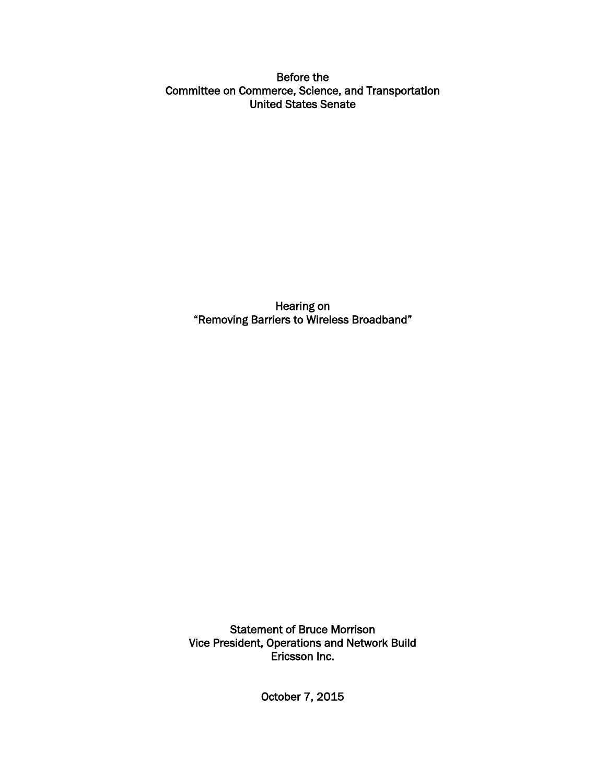Before the Committee on Commerce, Science, and Transportation United States Senate

> Hearing on "Removing Barriers to Wireless Broadband"

Statement of Bruce Morrison Vice President, Operations and Network Build Ericsson Inc.

October 7, 2015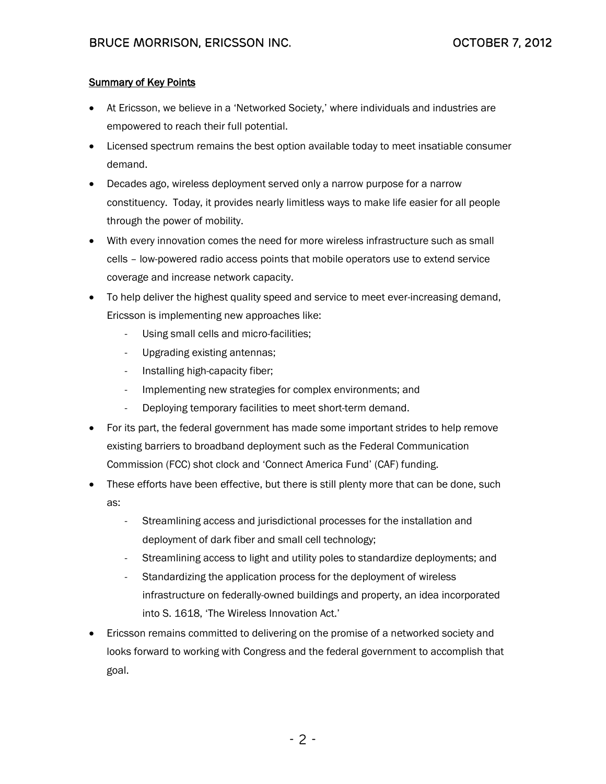## **Summary of Key Points**

- At Ericsson, we believe in a 'Networked Society,' where individuals and industries are empowered to reach their full potential.
- Licensed spectrum remains the best option available today to meet insatiable consumer demand.
- Decades ago, wireless deployment served only a narrow purpose for a narrow constituency. Today, it provides nearly limitless ways to make life easier for all people through the power of mobility.
- With every innovation comes the need for more wireless infrastructure such as small cells – low-powered radio access points that mobile operators use to extend service coverage and increase network capacity.
- To help deliver the highest quality speed and service to meet ever-increasing demand, Ericsson is implementing new approaches like:
	- Using small cells and micro-facilities;
	- Upgrading existing antennas;
	- Installing high-capacity fiber;
	- Implementing new strategies for complex environments; and
	- Deploying temporary facilities to meet short-term demand.
- For its part, the federal government has made some important strides to help remove existing barriers to broadband deployment such as the Federal Communication Commission (FCC) shot clock and 'Connect America Fund' (CAF) funding.
- These efforts have been effective, but there is still plenty more that can be done, such as:
	- Streamlining access and jurisdictional processes for the installation and deployment of dark fiber and small cell technology;
	- Streamlining access to light and utility poles to standardize deployments; and
	- Standardizing the application process for the deployment of wireless infrastructure on federally-owned buildings and property, an idea incorporated into S. 1618, 'The Wireless Innovation Act.'
- Ericsson remains committed to delivering on the promise of a networked society and looks forward to working with Congress and the federal government to accomplish that goal.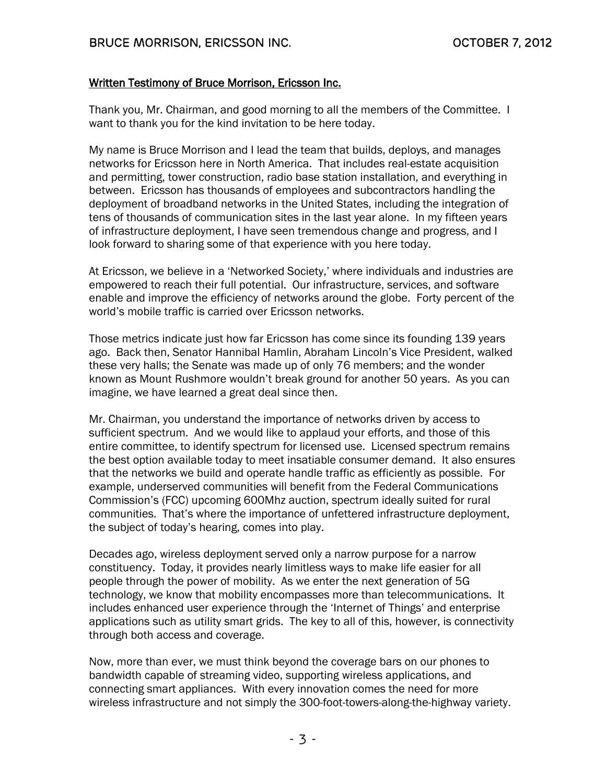## Written Testimony of Bruce Morrison, Ericsson Inc.

Thank you, Mr. Chairman, and good morning to all the members of the Committee. I want to thank you for the kind invitation to be here today.

My name is Bruce Morrison and I lead the team that builds, deploys, and manages networks for Ericsson here in North America. That includes real-estate acquisition and permitting, tower construction, radio base station installation, and everything in between. Ericsson has thousands of employees and subcontractors handling the deployment of broadband networks in the United States, including the integration of tens of thousands of communication sites in the last year alone. In my fifteen years of infrastructure deployment, I have seen tremendous change and progress, and I look forward to sharing some of that experience with you here today.

At Ericsson, we believe in a 'Networked Society,' where individuals and industries are empowered to reach their full potential. Our infrastructure, services, and software enable and improve the efficiency of networks around the globe. Forty percent of the world's mobile traffic is carried over Ericsson networks.

Those metrics indicate just how far Ericsson has come since its founding 139 years ago. Back then, Senator Hannibal Hamlin, Abraham Lincoln's Vice President, walked these very halls; the Senate was made up of only 76 members; and the wonder known as Mount Rushmore wouldn't break ground for another 50 years. As you can imagine, we have learned a great deal since then.

Mr. Chairman, you understand the importance of networks driven by access to sufficient spectrum. And we would like to applaud your efforts, and those of this entire committee, to identify spectrum for licensed use. Licensed spectrum remains the best option available today to meet insatiable consumer demand. It also ensures that the networks we build and operate handle traffic as efficiently as possible. For example, underserved communities will benefit from the Federal Communications Commission's (FCC) upcoming 600Mhz auction, spectrum ideally suited for rural communities. That's where the importance of unfettered infrastructure deployment, the subject of today's hearing, comes into play.

Decades ago, wireless deployment served only a narrow purpose for a narrow constituency. Today, it provides nearly limitless ways to make life easier for all people through the power of mobility. As we enter the next generation of 5G technology, we know that mobility encompasses more than telecommunications. It includes enhanced user experience through the 'Internet of Things' and enterprise applications such as utility smart grids. The key to all of this, however, is connectivity through both access and coverage.

Now, more than ever, we must think beyond the coverage bars on our phones to bandwidth capable of streaming video, supporting wireless applications, and connecting smart appliances. With every innovation comes the need for more wireless infrastructure and not simply the 300-foot-towers-along-the-highway variety.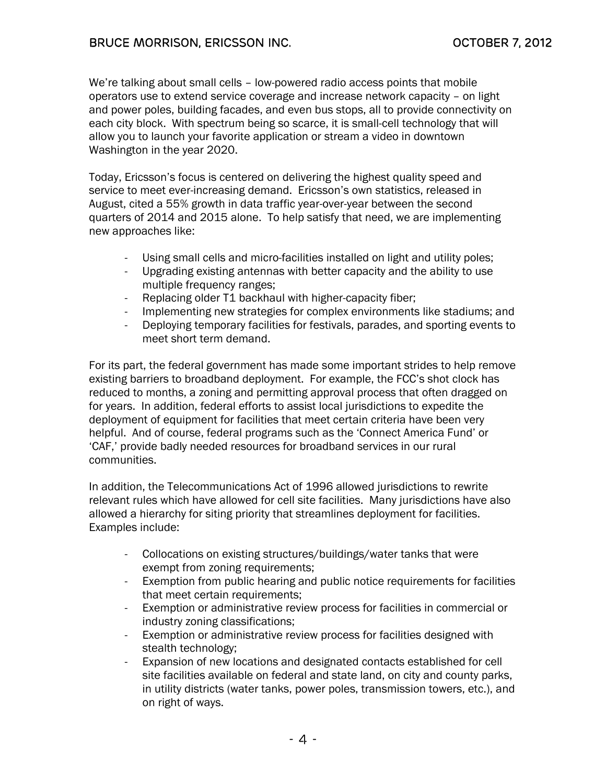We're talking about small cells – low-powered radio access points that mobile operators use to extend service coverage and increase network capacity – on light and power poles, building facades, and even bus stops, all to provide connectivity on each city block. With spectrum being so scarce, it is small-cell technology that will allow you to launch your favorite application or stream a video in downtown Washington in the year 2020.

Today, Ericsson's focus is centered on delivering the highest quality speed and service to meet ever-increasing demand. Ericsson's own statistics, released in August, cited a 55% growth in data traffic year-over-year between the second quarters of 2014 and 2015 alone. To help satisfy that need, we are implementing new approaches like:

- Using small cells and micro-facilities installed on light and utility poles;
- Upgrading existing antennas with better capacity and the ability to use multiple frequency ranges;
- Replacing older T1 backhaul with higher-capacity fiber;
- Implementing new strategies for complex environments like stadiums; and
- Deploying temporary facilities for festivals, parades, and sporting events to meet short term demand.

For its part, the federal government has made some important strides to help remove existing barriers to broadband deployment. For example, the FCC's shot clock has reduced to months, a zoning and permitting approval process that often dragged on for years. In addition, federal efforts to assist local jurisdictions to expedite the deployment of equipment for facilities that meet certain criteria have been very helpful. And of course, federal programs such as the 'Connect America Fund' or 'CAF,' provide badly needed resources for broadband services in our rural communities.

In addition, the Telecommunications Act of 1996 allowed jurisdictions to rewrite relevant rules which have allowed for cell site facilities. Many jurisdictions have also allowed a hierarchy for siting priority that streamlines deployment for facilities. Examples include:

- Collocations on existing structures/buildings/water tanks that were exempt from zoning requirements;
- Exemption from public hearing and public notice requirements for facilities that meet certain requirements;
- Exemption or administrative review process for facilities in commercial or industry zoning classifications;
- Exemption or administrative review process for facilities designed with stealth technology;
- Expansion of new locations and designated contacts established for cell site facilities available on federal and state land, on city and county parks, in utility districts (water tanks, power poles, transmission towers, etc.), and on right of ways.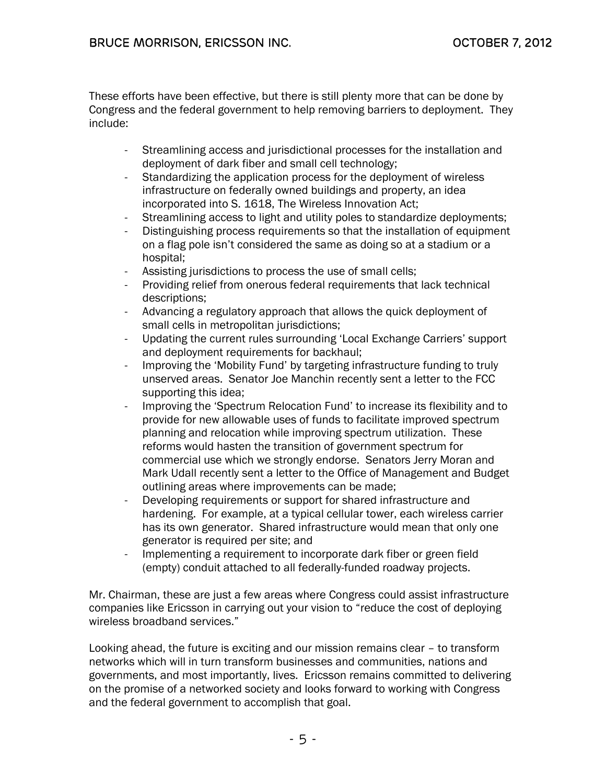These efforts have been effective, but there is still plenty more that can be done by Congress and the federal government to help removing barriers to deployment. They include:

- Streamlining access and jurisdictional processes for the installation and deployment of dark fiber and small cell technology;
- Standardizing the application process for the deployment of wireless infrastructure on federally owned buildings and property, an idea incorporated into S. 1618, The Wireless Innovation Act;
- Streamlining access to light and utility poles to standardize deployments;
- Distinguishing process requirements so that the installation of equipment on a flag pole isn't considered the same as doing so at a stadium or a hospital;
- Assisting jurisdictions to process the use of small cells;
- Providing relief from onerous federal requirements that lack technical descriptions;
- Advancing a regulatory approach that allows the quick deployment of small cells in metropolitan jurisdictions;
- Updating the current rules surrounding 'Local Exchange Carriers' support and deployment requirements for backhaul;
- Improving the 'Mobility Fund' by targeting infrastructure funding to truly unserved areas. Senator Joe Manchin recently sent a letter to the FCC supporting this idea;
- Improving the 'Spectrum Relocation Fund' to increase its flexibility and to provide for new allowable uses of funds to facilitate improved spectrum planning and relocation while improving spectrum utilization. These reforms would hasten the transition of government spectrum for commercial use which we strongly endorse. Senators Jerry Moran and Mark Udall recently sent a letter to the Office of Management and Budget outlining areas where improvements can be made;
- Developing requirements or support for shared infrastructure and hardening. For example, at a typical cellular tower, each wireless carrier has its own generator. Shared infrastructure would mean that only one generator is required per site; and
- Implementing a requirement to incorporate dark fiber or green field (empty) conduit attached to all federally-funded roadway projects.

Mr. Chairman, these are just a few areas where Congress could assist infrastructure companies like Ericsson in carrying out your vision to "reduce the cost of deploying wireless broadband services."

Looking ahead, the future is exciting and our mission remains clear – to transform networks which will in turn transform businesses and communities, nations and governments, and most importantly, lives. Ericsson remains committed to delivering on the promise of a networked society and looks forward to working with Congress and the federal government to accomplish that goal.